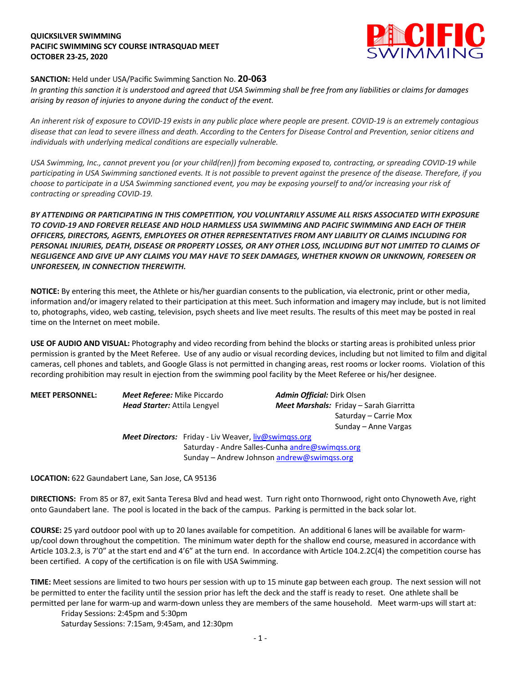### **QUICKSILVER SWIMMING PACIFIC SWIMMING SCY COURSE INTRASQUAD MEET OCTOBER 23-25, 2020**



### **SANCTION:** Held under USA/Pacific Swimming Sanction No. **20-063**

*In granting this sanction it is understood and agreed that USA Swimming shall be free from any liabilities or claims for damages arising by reason of injuries to anyone during the conduct of the event.* 

*An inherent risk of exposure to COVID-19 exists in any public place where people are present. COVID-19 is an extremely contagious disease that can lead to severe illness and death. According to the Centers for Disease Control and Prevention, senior citizens and individuals with underlying medical conditions are especially vulnerable.*

*USA Swimming, Inc., cannot prevent you (or your child(ren)) from becoming exposed to, contracting, or spreading COVID-19 while participating in USA Swimming sanctioned events. It is not possible to prevent against the presence of the disease. Therefore, if you choose to participate in a USA Swimming sanctioned event, you may be exposing yourself to and/or increasing your risk of contracting or spreading COVID-19.*

*BY ATTENDING OR PARTICIPATING IN THIS COMPETITION, YOU VOLUNTARILY ASSUME ALL RISKS ASSOCIATED WITH EXPOSURE TO COVID-19 AND FOREVER RELEASE AND HOLD HARMLESS USA SWIMMING AND PACIFIC SWIMMING AND EACH OF THEIR OFFICERS, DIRECTORS, AGENTS, EMPLOYEES OR OTHER REPRESENTATIVES FROM ANY LIABILITY OR CLAIMS INCLUDING FOR PERSONAL INJURIES, DEATH, DISEASE OR PROPERTY LOSSES, OR ANY OTHER LOSS, INCLUDING BUT NOT LIMITED TO CLAIMS OF NEGLIGENCE AND GIVE UP ANY CLAIMS YOU MAY HAVE TO SEEK DAMAGES, WHETHER KNOWN OR UNKNOWN, FORESEEN OR UNFORESEEN, IN CONNECTION THEREWITH.*

**NOTICE:** By entering this meet, the Athlete or his/her guardian consents to the publication, via electronic, print or other media, information and/or imagery related to their participation at this meet. Such information and imagery may include, but is not limited to, photographs, video, web casting, television, psych sheets and live meet results. The results of this meet may be posted in real time on the Internet on meet mobile.

**USE OF AUDIO AND VISUAL:** Photography and video recording from behind the blocks or starting areas is prohibited unless prior permission is granted by the Meet Referee. Use of any audio or visual recording devices, including but not limited to film and digital cameras, cell phones and tablets, and Google Glass is not permitted in changing areas, rest rooms or locker rooms. Violation of this recording prohibition may result in ejection from the swimming pool facility by the Meet Referee or his/her designee.

| <b>MEET PERSONNEL:</b> | <b>Meet Referee:</b> Mike Piccardo                          |                                                 |                                            | <b>Admin Official:</b> Dirk Olsen              |  |
|------------------------|-------------------------------------------------------------|-------------------------------------------------|--------------------------------------------|------------------------------------------------|--|
|                        | <b>Head Starter:</b> Attila Lengyel                         |                                                 |                                            | <b>Meet Marshals:</b> Friday – Sarah Giarritta |  |
|                        |                                                             |                                                 |                                            | Saturday – Carrie Mox                          |  |
|                        |                                                             |                                                 |                                            | Sunday – Anne Vargas                           |  |
|                        | <b>Meet Directors:</b> Friday - Liv Weaver, liv@swimgss.org |                                                 |                                            |                                                |  |
|                        |                                                             | Saturday - Andre Salles-Cunha andre@swimqss.org |                                            |                                                |  |
|                        |                                                             |                                                 | Sunday - Andrew Johnson andrew@swimqss.org |                                                |  |

**LOCATION:** 622 Gaundabert Lane, San Jose, CA 95136

**DIRECTIONS:** From 85 or 87, exit Santa Teresa Blvd and head west. Turn right onto Thornwood, right onto Chynoweth Ave, right onto Gaundabert lane. The pool is located in the back of the campus. Parking is permitted in the back solar lot.

**COURSE:** 25 yard outdoor pool with up to 20 lanes available for competition. An additional 6 lanes will be available for warmup/cool down throughout the competition. The minimum water depth for the shallow end course, measured in accordance with Article 103.2.3, is 7'0" at the start end and 4'6" at the turn end. In accordance with Article 104.2.2C(4) the competition course has been certified. A copy of the certification is on file with USA Swimming.

**TIME:** Meet sessions are limited to two hours per session with up to 15 minute gap between each group. The next session will not be permitted to enter the facility until the session prior has left the deck and the staff is ready to reset. One athlete shall be permitted per lane for warm-up and warm-down unless they are members of the same household. Meet warm-ups will start at:

Friday Sessions: 2:45pm and 5:30pm Saturday Sessions: 7:15am, 9:45am, and 12:30pm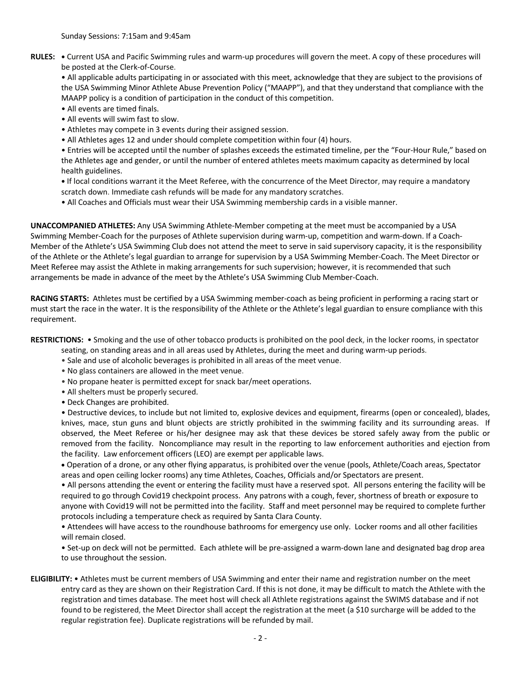**RULES: •** Current USA and Pacific Swimming rules and warm-up procedures will govern the meet. A copy of these procedures will be posted at the Clerk-of-Course.

• All applicable adults participating in or associated with this meet, acknowledge that they are subject to the provisions of the USA Swimming Minor Athlete Abuse Prevention Policy ("MAAPP"), and that they understand that compliance with the MAAPP policy is a condition of participation in the conduct of this competition.

- All events are timed finals.
- All events will swim fast to slow.
- Athletes may compete in 3 events during their assigned session.
- All Athletes ages 12 and under should complete competition within four (4) hours.

• Entries will be accepted until the number of splashes exceeds the estimated timeline, per the "Four-Hour Rule," based on the Athletes age and gender, or until the number of entered athletes meets maximum capacity as determined by local health guidelines.

**•** If local conditions warrant it the Meet Referee, with the concurrence of the Meet Director, may require a mandatory scratch down. Immediate cash refunds will be made for any mandatory scratches.

• All Coaches and Officials must wear their USA Swimming membership cards in a visible manner.

**UNACCOMPANIED ATHLETES:** Any USA Swimming Athlete-Member competing at the meet must be accompanied by a USA Swimming Member-Coach for the purposes of Athlete supervision during warm-up, competition and warm-down. If a Coach-Member of the Athlete's USA Swimming Club does not attend the meet to serve in said supervisory capacity, it is the responsibility of the Athlete or the Athlete's legal guardian to arrange for supervision by a USA Swimming Member-Coach. The Meet Director or Meet Referee may assist the Athlete in making arrangements for such supervision; however, it is recommended that such arrangements be made in advance of the meet by the Athlete's USA Swimming Club Member-Coach.

**RACING STARTS:** Athletes must be certified by a USA Swimming member-coach as being proficient in performing a racing start or must start the race in the water. It is the responsibility of the Athlete or the Athlete's legal guardian to ensure compliance with this requirement.

**RESTRICTIONS:** • Smoking and the use of other tobacco products is prohibited on the pool deck, in the locker rooms, in spectator

- seating, on standing areas and in all areas used by Athletes, during the meet and during warm-up periods.
- Sale and use of alcoholic beverages is prohibited in all areas of the meet venue.
- No glass containers are allowed in the meet venue.
- No propane heater is permitted except for snack bar/meet operations.
- All shelters must be properly secured.
- Deck Changes are prohibited.

• Destructive devices, to include but not limited to, explosive devices and equipment, firearms (open or concealed), blades, knives, mace, stun guns and blunt objects are strictly prohibited in the swimming facility and its surrounding areas. If observed, the Meet Referee or his/her designee may ask that these devices be stored safely away from the public or removed from the facility. Noncompliance may result in the reporting to law enforcement authorities and ejection from the facility. Law enforcement officers (LEO) are exempt per applicable laws.

• Operation of a drone, or any other flying apparatus, is prohibited over the venue (pools, Athlete/Coach areas, Spectator areas and open ceiling locker rooms) any time Athletes, Coaches, Officials and/or Spectators are present.

• All persons attending the event or entering the facility must have a reserved spot. All persons entering the facility will be required to go through Covid19 checkpoint process. Any patrons with a cough, fever, shortness of breath or exposure to anyone with Covid19 will not be permitted into the facility. Staff and meet personnel may be required to complete further protocols including a temperature check as required by Santa Clara County.

• Attendees will have access to the roundhouse bathrooms for emergency use only. Locker rooms and all other facilities will remain closed.

• Set-up on deck will not be permitted. Each athlete will be pre-assigned a warm-down lane and designated bag drop area to use throughout the session.

**ELIGIBILITY:** • Athletes must be current members of USA Swimming and enter their name and registration number on the meet entry card as they are shown on their Registration Card. If this is not done, it may be difficult to match the Athlete with the registration and times database. The meet host will check all Athlete registrations against the SWIMS database and if not found to be registered, the Meet Director shall accept the registration at the meet (a \$10 surcharge will be added to the regular registration fee). Duplicate registrations will be refunded by mail.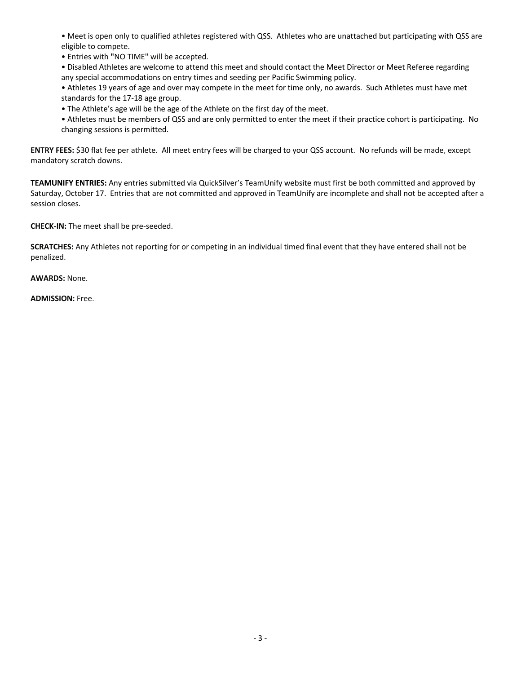• Meet is open only to qualified athletes registered with QSS. Athletes who are unattached but participating with QSS are eligible to compete.

• Entries with **"**NO TIME" will be accepted.

• Disabled Athletes are welcome to attend this meet and should contact the Meet Director or Meet Referee regarding any special accommodations on entry times and seeding per Pacific Swimming policy.

• Athletes 19 years of age and over may compete in the meet for time only, no awards. Such Athletes must have met standards for the 17-18 age group.

• The Athlete's age will be the age of the Athlete on the first day of the meet.

• Athletes must be members of QSS and are only permitted to enter the meet if their practice cohort is participating. No changing sessions is permitted.

**ENTRY FEES:** \$30 flat fee per athlete. All meet entry fees will be charged to your QSS account. No refunds will be made, except mandatory scratch downs.

**TEAMUNIFY ENTRIES:** Any entries submitted via QuickSilver's TeamUnify website must first be both committed and approved by Saturday, October 17. Entries that are not committed and approved in TeamUnify are incomplete and shall not be accepted after a session closes.

**CHECK-IN:** The meet shall be pre-seeded.

**SCRATCHES:** Any Athletes not reporting for or competing in an individual timed final event that they have entered shall not be penalized.

**AWARDS:** None.

**ADMISSION:** Free.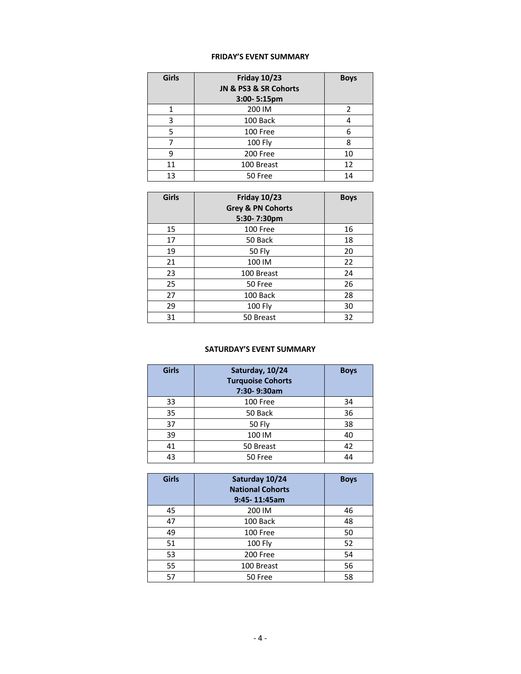## **FRIDAY'S EVENT SUMMARY**

| <b>Girls</b> | <b>Friday 10/23</b>   | <b>Boys</b> |
|--------------|-----------------------|-------------|
|              | JN & PS3 & SR Cohorts |             |
|              | 3:00-5:15pm           |             |
|              | 200 IM                |             |
| 3            | 100 Back              |             |
| 5            | 100 Free              | 6           |
|              | 100 Fly               |             |
| g            | 200 Free              | 10          |
| 11           | 100 Breast            | 12          |
| 13           | 50 Free               | 14          |

| <b>Girls</b> | <b>Friday 10/23</b><br><b>Grey &amp; PN Cohorts</b><br>5:30-7:30pm | <b>Boys</b> |
|--------------|--------------------------------------------------------------------|-------------|
| 15           | 100 Free                                                           | 16          |
| 17           | 50 Back                                                            | 18          |
| 19           | <b>50 Fly</b>                                                      | 20          |
| 21           | 100 IM                                                             | 22          |
| 23           | 100 Breast                                                         | 24          |
| 25           | 50 Free                                                            | 26          |
| 27           | 100 Back                                                           | 28          |
| 29           | 100 Fly                                                            | 30          |
| 31           | 50 Breast                                                          | 32          |

# **SATURDAY'S EVENT SUMMARY**

| <b>Girls</b> | Saturday, 10/24<br><b>Turquoise Cohorts</b><br>7:30-9:30am | <b>Boys</b> |
|--------------|------------------------------------------------------------|-------------|
| 33           | 100 Free                                                   | 34          |
| 35           | 50 Back                                                    | 36          |
| 37           | <b>50 Fly</b>                                              | 38          |
| 39           | 100 IM                                                     | 40          |
| 41           | 50 Breast                                                  | 42          |
| 43           | 50 Free                                                    | 44          |

| <b>Girls</b> | Saturday 10/24<br><b>National Cohorts</b><br>$9:45 - 11:45am$ | <b>Boys</b> |
|--------------|---------------------------------------------------------------|-------------|
| 45           | 200 IM                                                        | 46          |
| 47           | 100 Back                                                      | 48          |
| 49           | 100 Free                                                      | 50          |
| 51           | 100 Fly                                                       | 52          |
| 53           | 200 Free                                                      | 54          |
| 55           | 100 Breast                                                    | 56          |
| 57           | 50 Free                                                       | 58          |